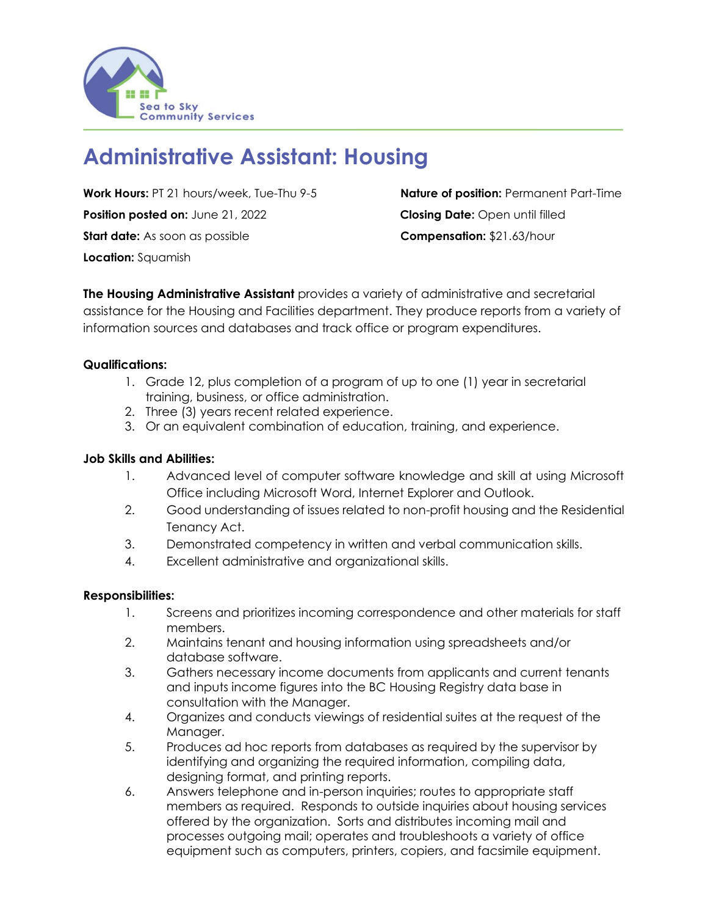

# **Administrative Assistant: Housing**

**Work Hours:** PT 21 hours/week, Tue-Thu 9-5 **Nature of position:** Permanent Part-Time **Position posted on:** June 21, 2022 **Closing Date:** Open until filled **Start date:** As soon as possible **Compensation:** \$21.63/hour **Location:** Squamish

**The Housing Administrative Assistant** provides a variety of administrative and secretarial assistance for the Housing and Facilities department. They produce reports from a variety of information sources and databases and track office or program expenditures.

## **Qualifications:**

- 1. Grade 12, plus completion of a program of up to one (1) year in secretarial training, business, or office administration.
- 2. Three (3) years recent related experience.
- 3. Or an equivalent combination of education, training, and experience.

## **Job Skills and Abilities:**

- 1. Advanced level of computer software knowledge and skill at using Microsoft Office including Microsoft Word, Internet Explorer and Outlook.
- 2. Good understanding of issues related to non-profit housing and the Residential Tenancy Act.
- 3. Demonstrated competency in written and verbal communication skills.
- 4. Excellent administrative and organizational skills.

### **Responsibilities:**

- 1. Screens and prioritizes incoming correspondence and other materials for staff members.
- 2. Maintains tenant and housing information using spreadsheets and/or database software.
- 3. Gathers necessary income documents from applicants and current tenants and inputs income figures into the BC Housing Registry data base in consultation with the Manager.
- 4. Organizes and conducts viewings of residential suites at the request of the Manager.
- 5. Produces ad hoc reports from databases as required by the supervisor by identifying and organizing the required information, compiling data, designing format, and printing reports.
- 6. Answers telephone and in-person inquiries; routes to appropriate staff members as required. Responds to outside inquiries about housing services offered by the organization. Sorts and distributes incoming mail and processes outgoing mail; operates and troubleshoots a variety of office equipment such as computers, printers, copiers, and facsimile equipment.